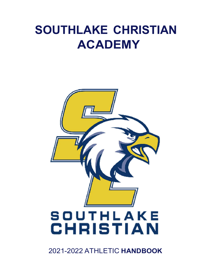# SOUTHLAKE CHRISTIAN ACADEMY



2021-2022 ATHLETIC HANDBOOK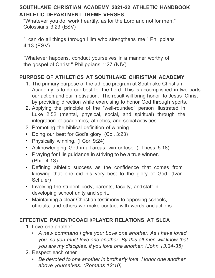# SOUTHLAKE CHRISTIAN ACADEMY 2021-22 ATHLETIC HANDBOOK ATHLETIC DEPARTMENT THEME VERSES

"Whatever you do, work heartily, as for the Lord and not for men." Colossians 3:23 (ESV)

"I can do all things through Him who strengthens me." Philippians 4:13 (ESV)

"Whatever happens, conduct yourselves in a manner worthy of the gospel of Christ." Philippians 1:27 (NIV)

# PURPOSE OF ATHLETICS AT SOUTHLAKE CHRISTIAN ACADEMY

- 1. The primary purpose of the athletic program at Southlake Christian Academy is to do our best for the Lord. This is accomplished in two parts: our action and our motivation. The result will bring honor to Jesus Christ by providing direction while exercising to honor God through sports.
- 2. Applying the principle of the "well-rounded" person illustrated in Luke 2:52 (mental, physical, social, and spiritual) through the integration of academics, athletics, and social activities.
- 3. Promoting the biblical definition of winning.
- Doing our best for God's glory. (Col. 3:23)
- Physically winning. (I Cor. 9:24)
- Acknowledging God in all areas, win or lose. (I Thess. 5:18)
- Praying for His guidance in striving to be a true winner. (Phil. 4:13)
- Defining athletic success as the confidence that comes from knowing that one did his very best to the glory of God. (Ivan Schuler)
- Involving the student body, parents, faculty, and staff in developing school unity and spirit.
- Maintaining a clear Christian testimony to opposing schools, officials, and others we make contact with words and actions.

## EFFECTIVE PARENT/COACH/PLAYER RELATIONS AT SLCA

- 1. Love one another
	- A new command I give you: Love one another. As I have loved you, so you must love one another. By this all men will know that you are my disciples, if you love one another. (John 13:34-35)
- 2. Respect each other
	- Be devoted to one another in brotherly love. Honor one another above yourselves. (Romans 12:10)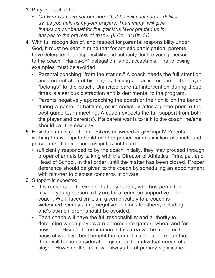- 3. Pray for each other
	- On Him we have set our hope that he will continue to deliver us, as you help us by your prayers. Then many will give thanks on our behalf for the gracious favor granted us in answer to the prayers of many. (II Cor. 1:10b-11)
- 4. With full recognition of, and respect for parental responsibility under God, it must be kept in mind that for athletic participation, parents have delegated the responsibility and authority for the young person to the coach. "Hands-on" delegation is not acceptable. The following examples must be avoided:
	- Parental coaching "from the stands." A coach needs the full attention and concentration of his players. During a practice or game, the player "belongs" to the coach. Uninvited parental intervention during these times is a serious distraction and is detrimental to the program.
	- Parents negatively approaching the coach or their child on the bench during a game, at halftime, or immediately after a game prior to the post-game team meeting. A coach expects the full support from both the player and parent(s). If a parent wants to talk to the coach, he/she should call the next day.
- 5. How do parents get their questions answered or give input? Parents wishing to give input should use the proper communication channels and procedures. If their concern/input is not heard or
	- sufficiently responded to by the coach initially, they may proceed through proper channels by talking with the Director of Athletics, Principal, and Head of School, in that order, until the matter has been closed. Proper deference should be given to the coach by scheduling an appointment with him/her to discuss concerns in private.
- 6. Support is expected
	- It is reasonable to expect that any parent, who has permitted his/her young person to try out for a team, be supportive of the coach. Well- laced criticism given privately to a coach is welcomed; simply airing negative opinions to others, including one's own children, should be avoided.
	- Each coach will have the full responsibility and authority to determine which players are entered into games, when, and for how long. His/her determination in this area will be made on the basis of what will best benefit the team. This does not mean that there will be no consideration given to the individual needs of a player. However, the team will always be of primary significance.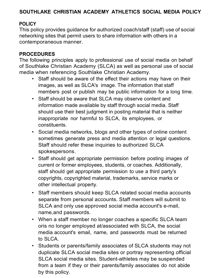## SOUTHLAKE CHRISTIAN ACADEMY ATHLETICS SOCIAL MEDIA POLICY

#### **POLICY**

This policy provides guidance for authorized coach/staff (staff) use of social networking sites that permit users to share information with others in a contemporaneous manner.

#### PROCEDURES

The following principles apply to professional use of social media on behalf of Southlake Christian Academy (SLCA) as well as personal use of social media when referencing Southlake Christian Academy.

- Staff should be aware of the effect their actions may have on their images, as well as SLCA's image. The information that staff members post or publish may be public information for a long time.
- Staff should be aware that SLCA may observe content and information made available by staff through social media. Staff should use their best judgment in posting material that is neither inappropriate nor harmful to SLCA, its employees, or constituents.
- Social media networks, blogs and other types of online content sometimes generate press and media attention or legal questions. Staff should refer these inquiries to authorized SLCA spokespersons.
- Staff should get appropriate permission before posting images of current or former employees, students, or coaches. Additionally, staff should get appropriate permission to use a third party's copyrights, copyrighted material, trademarks, service marks or other intellectual property.
- Staff members should keep SLCA related social media accounts separate from personal accounts. Staff members will submit to SLCA and only use approved social media account's e-mail, name, and passwords.
- When a staff member no longer coaches a specific SLCA team oris no longer employed at/associated with SLCA, the social media account's email, name, and passwords must be returned to SLCA.
- Students or parents/family associates of SLCA students may not duplicate SLCA social media sites or portray representing official SLCA social media sites. Student-athletes may be suspended from a team if they or their parents/family associates do not abide by this policy.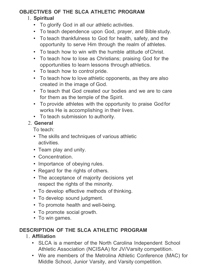## OBJECTIVES OF THE SLCA ATHLETIC PROGRAM

#### 1. Spiritual

- To glorify God in all our athletic activities.
- To teach dependence upon God, prayer, and Bible study.
- To teach thankfulness to God for health, safety, and the opportunity to serve Him through the realm of athletes.
- To teach how to win with the humble attitude of Christ.
- To teach how to lose as Christians; praising God for the opportunities to learn lessons through athletics.
- To teach how to control pride.
- To teach how to love athletic opponents, as they are also created in the image of God.
- To teach that God created our bodies and we are to care for them as the temple of the Spirit.
- To provide athletes with the opportunity to praise God for works He is accomplishing in their lives.
- To teach submission to authority.

## 2. General

To teach:

- The skills and techniques of various athletic activities.
- Team play and unity.
- Concentration.
- Importance of obeying rules.
- Regard for the rights of others.
- The acceptance of majority decisions yet respect the rights of the minority.
- To develop effective methods of thinking.
- To develop sound judgment.
- To promote health and well-being.
- To promote social growth.
- To win games.

# DESCRIPTION OF THE SLCA ATHLETIC PROGRAM

- 1. Affiliation
	- SLCA is a member of the North Carolina Independent School Athletic Association (NCISAA) for JV/Varsity competition.
	- We are members of the Metrolina Athletic Conference (MAC) for Middle School, Junior Varsity, and Varsity competition.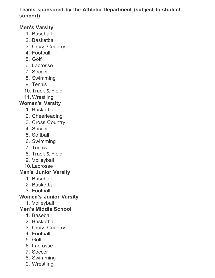## Teams sponsored by the Athletic Department (subject to student support)

## Men's Varsity

- 1. Baseball
- 2. Basketball
- 3. Cross Country
- 4. Football
- 5. Golf
- 6. Lacrosse
- 7. Soccer
- 8. Swimming
- 9. Tennis
- 10. Track & Field
- 11. Wrestling

#### Women's Varsity

- 1. Basketball
- 2. Cheerleading
- 3. Cross Country
- 4. Soccer
- 5. Softball
- 6. Swimming
- 7. Tennis
- 8. Track & Field
- 9. Volleyball
- 10. Lacrosse

## Men's Junior Varsity

- 1. Baseball
- 2. Basketball
- 3. Football

#### Women's Junior Varsity

1. Volleyball

#### Men's Middle School

- 1. Baseball
- 2. Basketball
- 3. Cross Country
- 4. Football
- 5. Golf
- 6. Lacrosse
- 7. Soccer
- 8. Swimming
- 9. Wrestling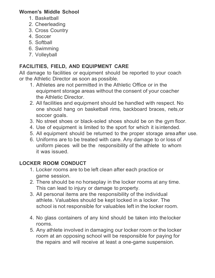#### Women's Middle School

- 1. Basketball
- 2. Cheerleading
- 3. Cross Country
- 4. Soccer
- 5. Softball
- 6. Swimming
- 7. Volleyball

# FACILITIES, FIELD, AND EQUIPMENT CARE

All damage to facilities or equipment should be reported to your coach or the Athletic Director as soon as possible.

- 1. Athletes are not permitted in the Athletic Office or in the equipment storage areas without the consent of your coacher the Athletic Director.
- 2. All facilities and equipment should be handled with respect. No one should hang on basketball rims, backboard braces, nets,or soccer goals.
- 3. No street shoes or black-soled shoes should be on the gym floor.
- 4. Use of equipment is limited to the sport for which it is intended.
- 5. All equipment should be returned to the proper storage area after use.
- 6. Uniforms are to be treated with care. Any damage to or loss of uniform pieces will be the responsibility of the athlete to whom it was issued.

# LOCKER ROOM CONDUCT

- 1. Locker rooms are to be left clean after each practice or game session.
- 2. There should be no horseplay in the locker rooms at any time. This can lead to injury or damage to property.
- 3. All personal items are the responsibility of the individual athlete. Valuables should be kept locked in a locker. The school is not responsible for valuables left in the locker room.
- 4. No glass containers of any kind should be taken into the locker rooms.
- 5. Any athlete involved in damaging our locker room or the locker room at an opposing school will be responsible for paying for the repairs and will receive at least a one-game suspension.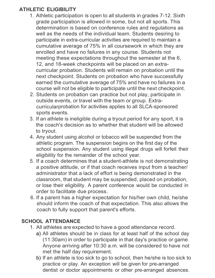# ATHLETIC ELIGIBILITY

- 1. Athletic participation is open to all students in grades 7-12. Sixth grade participation is allowed in some, but not all sports. This determination is based on conference rules and regulations as well as the needs of the individual team. Students desiring to participate in extra-curricular activities are required to maintain a cumulative average of 75% in all coursework in which they are enrolled and have no failures in any course. Students not meeting these expectations throughout the semester at the 6, 12, and 18-week checkpoints will be placed on an extracurricular probation. Students will remain on probation until the next checkpoint. Students on probation who have successfully earned the cumulative average of 75% and have no failures in a course will not be eligible to participate until the next checkpoint.
- 2. Students on probation can practice but not play, participate in outside events, or travel with the team or group. Extracurricular probation for activities applies to all SLCA-sponsored sports events.
- 3. If an athlete is ineligible during a tryout period for any sport, it is the coach's decision as to whether that student will be allowed to tryout.
- 4. Any student using alcohol or tobacco will be suspended from the athletic program. The suspension begins on the first day of the school suspension. Any student using illegal drugs will forfeit their eligibility for the remainder of the school year.
- 5. If a coach determines that a student-athlete is not demonstrating a positive attitude, or if that coach receives input from a teacher/ administrator that a lack of effort is being demonstrated in the classroom, that student may be suspended, placed on probation, or lose their eligibility. A parent conference would be conducted in order to facilitate due process.
- 6. If a parent has a higher expectation for his/her own child, he/she should inform the coach of that expectation. This also allows the coach to fully support that parent's efforts.

# SCHOOL ATTENDANCE

- 1. All athletes are expected to have a good attendance record.
	- a) All athletes should be in class for at least half of the school day (11:30am) in order to participate in that day's practice or game. Anyone arriving after 10:30 a.m. will be considered to have not met the half day requirement.
	- b) If an athlete is too sick to go to school, then he/she is too sick to practice or play. An exception will be given for pre-arranged dentist or doctor appointments or other pre-arranged absences.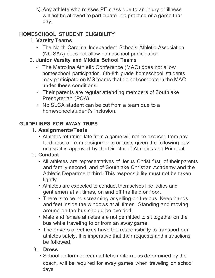c) Any athlete who misses PE class due to an injury or illness will not be allowed to participate in a practice or a game that day.

# HOMESCHOOL STUDENT ELIGIBILITY

# 1. Varsity Teams

- The North Carolina Independent Schools Athletic Association (NCISAA) does not allow homeschool participation.
- 2. Junior Varsity and Middle School Teams
	- The Metrolina Athletic Conference (MAC) does not allow homeschool participation. 6th-8th grade homeschool students may participate on MS teams that do not compete in the MAC under these conditions:
	- Their parents are regular attending members of Southlake Presbyterian (PCA).
	- No SLCA student can be cut from a team due to a homeschoolstudent's inclusion.

# GUIDELINES FOR AWAY TRIPS

- 1. Assignments/Tests
	- Athletes returning late from a game will not be excused from any tardiness or from assignments or tests given the following day unless it is approved by the Director of Athletics and Principal.

# 2. Conduct

- All athletes are representatives of Jesus Christ first, of their parents and family second, and of Southlake Christian Academy and the Athletic Department third. This responsibility must not be taken lightly.
- Athletes are expected to conduct themselves like ladies and gentlemen at all times, on and off the field or floor.
- There is to be no screaming or yelling on the bus. Keep hands and feet inside the windows at all times. Standing and moving around on the bus should be avoided.
- Male and female athletes are not permitted to sit together on the bus while traveling to or from an away game.
- The drivers of vehicles have the responsibility to transport our athletes safely. It is imperative that their requests and instructions be followed.

# 3. Dress

• School uniform or team athletic uniform, as determined by the coach, will be required for away games when traveling on school days.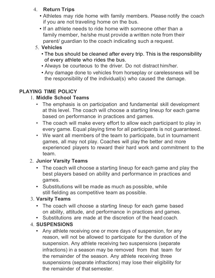#### 4. Return Trips

- Athletes may ride home with family members. Please notify the coach if you are not traveling home on the bus.
- If an athlete needs to ride home with someone other than a family member, he/she must provide a written note from their parent/ guardian to the coach indicating such a request.

# 5. Vehicles

- The bus should be cleaned after every trip. This is the responsibility of every athlete who rides the bus.
- Always be courteous to the driver. Do not distract him/her.
- Any damage done to vehicles from horseplay or carelessness will be the responsibility of the individual(s) who caused the damage.

# PLAYING TIME POLICY

## 1. Middle School Teams

- The emphasis is on participation and fundamental skill development at this level. The coach will choose a starting lineup for each game based on performance in practices and games.
- The coach will make every effort to allow each participant to play in every game. Equal playing time for all participants is not guaranteed.
- We want all members of the team to participate, but in tournament games, all may not play. Coaches will play the better and more experienced players to reward their hard work and commitment to the team.

# 2. Junior Varsity Teams

- The coach will choose a starting lineup for each game and play the best players based on ability and performance in practices and games.
- Substitutions will be made as much as possible, while still fielding as competitive team as possible.

# 3. Varsity Teams

- The coach will choose a starting lineup for each game based on ability, attitude, and performance in practices and games.
- Substitutions are made at the discretion of the head coach.

# 4. SUSPENSIONS

• Any athlete receiving one or more days of suspension, for any reason, will not be allowed to participate for the duration of the suspension. Any athlete receiving two suspensions (separate infractions) in a season may be removed from that team for the remainder of the season. Any athlete receiving three suspensions (separate infractions) may lose their eligibility for the remainder of that semester.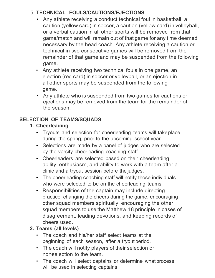# 5. TECHNICAL FOULS/CAUTIONS/EJECTIONS

- Any athlete receiving a conduct technical foul in basketball, a caution (yellow card) in soccer, a caution (yellow card) in volleyball, or a verbal caution in all other sports will be removed from that game/match and will remain out of that game for any time deemed necessary by the head coach. Any athlete receiving a caution or technical in two consecutive games will be removed from the remainder of that game and may be suspended from the following game.
- Any athlete receiving two technical fouls in one game, an ejection (red card) in soccer or volleyball, or an ejection in all other sports may be suspended from the following game.
- Any athlete who is suspended from two games for cautions or ejections may be removed from the team for the remainder of the season.

# SELECTION OF TEAMS/SQUADS

# 1. Cheerleading

- Tryouts and selection for cheerleading teams will take place during the spring, prior to the upcoming school year.
- Selections are made by a panel of judges who are selected by the varsity cheerleading coaching staff.
- Cheerleaders are selected based on their cheerleading ability, enthusiasm, and ability to work with a team after a clinic and a tryout session before the judges.
- The cheerleading coaching staff will notify those individuals who were selected to be on the cheerleading teams.
- Responsibilities of the captain may include directing practice, changing the cheers during the game, encouraging other squad members spiritually, encouraging the other squad members to use the Matthew 18 principle in cases of disagreement, leading devotions, and keeping records of cheers used.

## 2. Teams (all levels)

- The coach and his/her staff select teams at the beginning of each season, after a tryout period.
- The coach will notify players of their selection or non-selection to the team.
- The coach will select captains or determine what process will be used in selecting captains.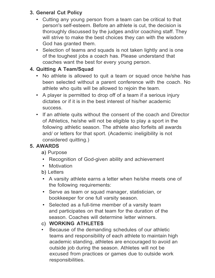## 3. General Cut Policy

- Cutting any young person from a team can be critical to that person's self-esteem. Before an athlete is cut, the decision is thoroughly discussed by the judges and/or coaching staff. They will strive to make the best choices they can with the wisdom God has granted them.
- Selection of teams and squads is not taken lightly and is one of the toughest jobs a coach has. Please understand that coaches want the best for every young person.

# 4. Quitting A Team/Squad

- No athlete is allowed to quit a team or squad once he/she has been selected without a parent conference with the coach. No athlete who quits will be allowed to rejoin the team.
- A player is permitted to drop off of a team if a serious injury dictates or if it is in the best interest of his/her academic success.
- If an athlete quits without the consent of the coach and Director of Athletics, he/she will not be eligible to play a sport in the following athletic season. The athlete also forfeits all awards and/ or letters for that sport. (Academic ineligibility is not considered quitting.)

# 5. AWARDS

- a) Purpose
- Recognition of God-given ability and achievement
- Motivation
- b) Letters
- A varsity athlete earns a letter when he/she meets one of the following requirements:
- Serve as team or squad manager, statistician, or bookkeeper for one full varsity season.
- Selected as a full-time member of a varsity team and participates on that team for the duration of the season. Coaches will determine letter winners.

# c) WORKING ATHLETES

Because of the demanding schedules of our athletic teams and responsibility of each athlete to maintain high academic standing, athletes are encouraged to avoid an outside job during the season. Athletes will not be excused from practices or games due to outside work responsibilities.